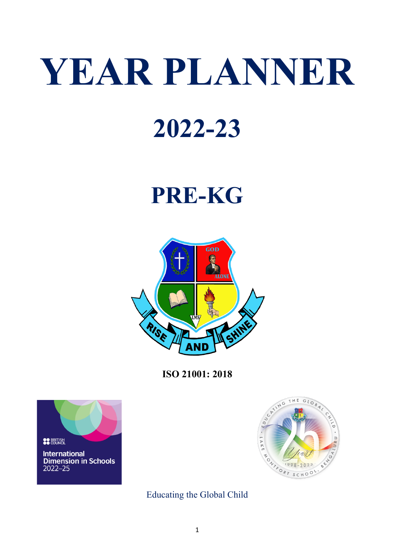# **YEAR PLANNER**

### **2022-23**

## **PRE-KG**



**ISO 21001: 2018**





Educating the Global Child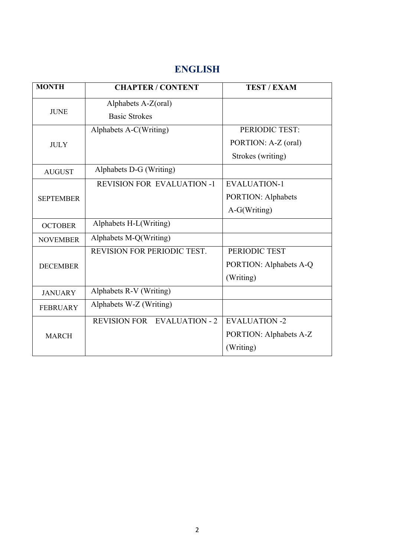#### **ENGLISH**

| <b>MONTH</b>     | <b>CHAPTER / CONTENT</b>           | <b>TEST / EXAM</b>        |
|------------------|------------------------------------|---------------------------|
| <b>JUNE</b>      | Alphabets A-Z(oral)                |                           |
|                  | <b>Basic Strokes</b>               |                           |
|                  | Alphabets A-C(Writing)             | PERIODIC TEST:            |
| <b>JULY</b>      |                                    | PORTION: A-Z (oral)       |
|                  |                                    | Strokes (writing)         |
| <b>AUGUST</b>    | Alphabets D-G (Writing)            |                           |
|                  | <b>REVISION FOR EVALUATION -1</b>  | <b>EVALUATION-1</b>       |
| <b>SEPTEMBER</b> |                                    | <b>PORTION: Alphabets</b> |
|                  |                                    | A-G(Writing)              |
| <b>OCTOBER</b>   | Alphabets H-L(Writing)             |                           |
| <b>NOVEMBER</b>  | Alphabets M-Q(Writing)             |                           |
| <b>DECEMBER</b>  | REVISION FOR PERIODIC TEST.        | PERIODIC TEST             |
|                  |                                    | PORTION: Alphabets A-Q    |
|                  |                                    | (Writing)                 |
| <b>JANUARY</b>   | Alphabets R-V (Writing)            |                           |
| <b>FEBRUARY</b>  | Alphabets W-Z (Writing)            |                           |
| <b>MARCH</b>     | <b>REVISION FOR EVALUATION - 2</b> | <b>EVALUATION -2</b>      |
|                  |                                    | PORTION: Alphabets A-Z    |
|                  |                                    | (Writing)                 |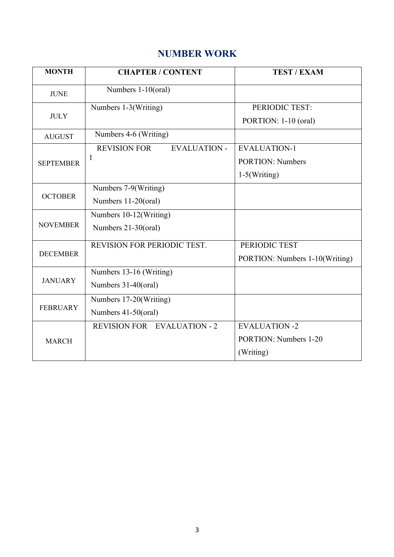#### **NUMBER WORK**

| <b>MONTH</b>     | <b>CHAPTER / CONTENT</b>                   | <b>TEST / EXAM</b>             |
|------------------|--------------------------------------------|--------------------------------|
| <b>JUNE</b>      | Numbers 1-10(oral)                         |                                |
| <b>JULY</b>      | Numbers 1-3(Writing)                       | PERIODIC TEST:                 |
|                  |                                            | PORTION: 1-10 (oral)           |
| <b>AUGUST</b>    | Numbers 4-6 (Writing)                      |                                |
| <b>SEPTEMBER</b> | <b>REVISION FOR</b><br><b>EVALUATION -</b> | <b>EVALUATION-1</b>            |
|                  | 1                                          | <b>PORTION: Numbers</b>        |
|                  |                                            | $1-5(Writing)$                 |
| <b>OCTOBER</b>   | Numbers 7-9(Writing)                       |                                |
|                  | Numbers 11-20(oral)                        |                                |
| <b>NOVEMBER</b>  | Numbers 10-12(Writing)                     |                                |
|                  | Numbers 21-30(oral)                        |                                |
| <b>DECEMBER</b>  | REVISION FOR PERIODIC TEST.                | PERIODIC TEST                  |
|                  |                                            | PORTION: Numbers 1-10(Writing) |
| <b>JANUARY</b>   | Numbers 13-16 (Writing)                    |                                |
|                  | Numbers 31-40(oral)                        |                                |
| <b>FEBRUARY</b>  | Numbers 17-20(Writing)                     |                                |
|                  | Numbers 41-50(oral)                        |                                |
| <b>MARCH</b>     | <b>REVISION FOR EVALUATION - 2</b>         | <b>EVALUATION -2</b>           |
|                  |                                            | <b>PORTION:</b> Numbers 1-20   |
|                  |                                            | (Writing)                      |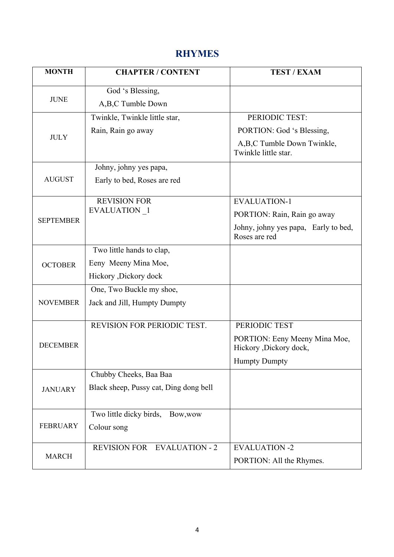#### **RHYMES**

| <b>MONTH</b>     | <b>CHAPTER / CONTENT</b>               | <b>TEST / EXAM</b>                                      |
|------------------|----------------------------------------|---------------------------------------------------------|
| <b>JUNE</b>      | God 's Blessing,                       |                                                         |
|                  | A,B,C Tumble Down                      |                                                         |
| <b>JULY</b>      | Twinkle, Twinkle little star,          | PERIODIC TEST:                                          |
|                  | Rain, Rain go away                     | PORTION: God 's Blessing,                               |
|                  |                                        | A,B,C Tumble Down Twinkle,<br>Twinkle little star.      |
|                  | Johny, johny yes papa,                 |                                                         |
| <b>AUGUST</b>    | Early to bed, Roses are red            |                                                         |
|                  | <b>REVISION FOR</b>                    | <b>EVALUATION-1</b>                                     |
| <b>SEPTEMBER</b> | EVALUATION 1                           | PORTION: Rain, Rain go away                             |
|                  |                                        | Johny, johny yes papa, Early to bed,<br>Roses are red   |
|                  | Two little hands to clap,              |                                                         |
| <b>OCTOBER</b>   | Eeny Meeny Mina Moe,                   |                                                         |
|                  | Hickory ,Dickory dock                  |                                                         |
|                  | One, Two Buckle my shoe,               |                                                         |
| <b>NOVEMBER</b>  | Jack and Jill, Humpty Dumpty           |                                                         |
|                  | REVISION FOR PERIODIC TEST.            | PERIODIC TEST                                           |
| <b>DECEMBER</b>  |                                        | PORTION: Eeny Meeny Mina Moe,<br>Hickory ,Dickory dock, |
|                  |                                        | <b>Humpty Dumpty</b>                                    |
| <b>JANUARY</b>   | Chubby Cheeks, Baa Baa                 |                                                         |
|                  | Black sheep, Pussy cat, Ding dong bell |                                                         |
| <b>FEBRUARY</b>  | Two little dicky birds,<br>Bow, wow    |                                                         |
|                  | Colour song                            |                                                         |
| <b>MARCH</b>     | <b>REVISION FOR EVALUATION - 2</b>     | <b>EVALUATION -2</b>                                    |
|                  |                                        | PORTION: All the Rhymes.                                |